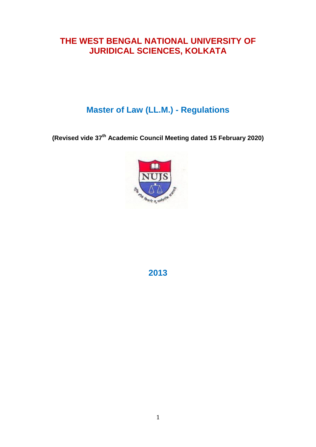# **THE WEST BENGAL NATIONAL UNIVERSITY OF JURIDICAL SCIENCES, KOLKATA**

# **Master of Law (LL.M.) - Regulations**

**(Revised vide 37th Academic Council Meeting dated 15 February 2020)**



**2013**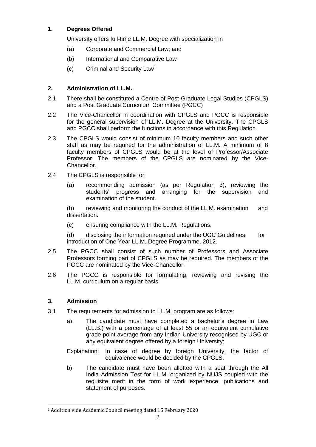# **1. Degrees Offered**

University offers full-time LL.M. Degree with specialization in

- (a) Corporate and Commercial Law; and
- (b) International and Comparative Law
- (c) Criminal and Security Law<sup>1</sup>

# **2. Administration of LL.M.**

- 2.1 There shall be constituted a Centre of Post-Graduate Legal Studies (CPGLS) and a Post Graduate Curriculum Committee (PGCC)
- 2.2 The Vice-Chancellor in coordination with CPGLS and PGCC is responsible for the general supervision of LL.M. Degree at the University. The CPGLS and PGCC shall perform the functions in accordance with this Regulation.
- 2.3 The CPGLS would consist of minimum 10 faculty members and such other staff as may be required for the administration of LL.M. A minimum of 8 faculty members of CPGLS would be at the level of Professor/Associate Professor. The members of the CPGLS are nominated by the Vice-Chancellor.
- 2.4 The CPGLS is responsible for:
	- (a) recommending admission (as per Regulation 3), reviewing the students" progress and arranging for the supervision and examination of the student.

(b) reviewing and monitoring the conduct of the LL.M. examination and dissertation.

(c) ensuring compliance with the LL.M. Regulations.

(d) disclosing the information required under the UGC Guidelines for introduction of One Year LL.M. Degree Programme, 2012.

- 2.5 The PGCC shall consist of such number of Professors and Associate Professors forming part of CPGLS as may be required. The members of the PGCC are nominated by the Vice-Chancellor.
- 2.6 The PGCC is responsible for formulating, reviewing and revising the LL.M. curriculum on a regular basis.

# **3. Admission**

 $\overline{\phantom{a}}$ 

- 3.1 The requirements for admission to LL.M. program are as follows:
	- a) The candidate must have completed a bachelor"s degree in Law (LL.B.) with a percentage of at least 55 or an equivalent cumulative grade point average from any Indian University recognised by UGC or any equivalent degree offered by a foreign University;

Explanation: In case of degree by foreign University, the factor of equivalence would be decided by the CPGLS.

b) The candidate must have been allotted with a seat through the All India Admission Test for LL.M. organized by NUJS coupled with the requisite merit in the form of work experience, publications and statement of purposes.

<sup>1</sup> Addition vide Academic Council meeting dated 15 February 2020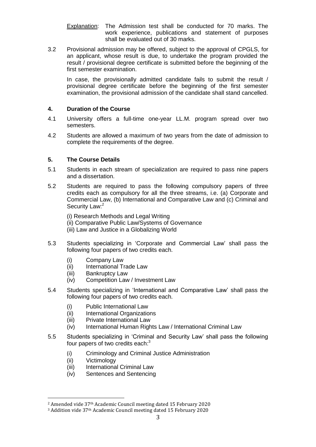Explanation: The Admission test shall be conducted for 70 marks. The work experience, publications and statement of purposes shall be evaluated out of 30 marks.

3.2 Provisional admission may be offered, subject to the approval of CPGLS, for an applicant, whose result is due, to undertake the program provided the result / provisional degree certificate is submitted before the beginning of the first semester examination.

In case, the provisionally admitted candidate fails to submit the result / provisional degree certificate before the beginning of the first semester examination, the provisional admission of the candidate shall stand cancelled.

## **4. Duration of the Course**

- 4.1 University offers a full-time one-year LL.M. program spread over two semesters.
- 4.2 Students are allowed a maximum of two years from the date of admission to complete the requirements of the degree.

## **5. The Course Details**

- 5.1 Students in each stream of specialization are required to pass nine papers and a dissertation.
- 5.2 Students are required to pass the following compulsory papers of three credits each as compulsory for all the three streams, i.e. (a) Corporate and Commercial Law, (b) International and Comparative Law and (c) Criminal and Security Law:<sup>2</sup>

 (i) Research Methods and Legal Writing (ii) Comparative Public Law/Systems of Governance (iii) Law and Justice in a Globalizing World

- 5.3 Students specializing in "Corporate and Commercial Law" shall pass the following four papers of two credits each.
	- (i) Company Law
	- (ii) International Trade Law
	- (iii) Bankruptcy Law
	- (iv) Competition Law / Investment Law
- 5.4 Students specializing in "International and Comparative Law" shall pass the following four papers of two credits each.
	- (i) Public International Law
	- (ii) International Organizations
	- (iii) Private International Law
	- (iv) International Human Rights Law / International Criminal Law
- 5.5 Students specializing in "Criminal and Security Law" shall pass the following four papers of two credits each: $3$ 
	- (i) Criminology and Criminal Justice Administration
	- (ii) Victimology

- (iii) International Criminal Law
- (iv) Sentences and Sentencing

<sup>2</sup> Amended vide 37th Academic Council meeting dated 15 February 2020

<sup>3</sup> Addition vide 37th Academic Council meeting dated 15 February 2020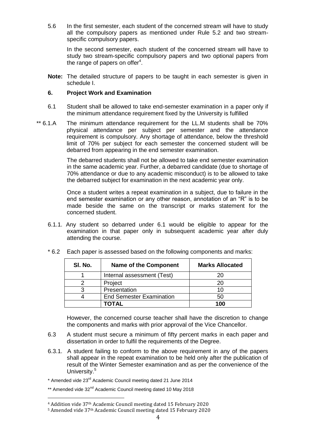5.6 In the first semester, each student of the concerned stream will have to study all the compulsory papers as mentioned under Rule 5.2 and two streamspecific compulsory papers.

 In the second semester, each student of the concerned stream will have to study two stream-specific compulsory papers and two optional papers from the range of papers on offer $4$ .

**Note:** The detailed structure of papers to be taught in each semester is given in schedule I.

### **6. Project Work and Examination**

- 6.1 Student shall be allowed to take end-semester examination in a paper only if the minimum attendance requirement fixed by the University is fulfilled
- \*\* 6.1.A The minimum attendance requirement for the LL.M students shall be 70% physical attendance per subject per semester and the attendance requirement is compulsory. Any shortage of attendance, below the threshold limit of 70% per subject for each semester the concerned student will be debarred from appearing in the end semester examination.

The debarred students shall not be allowed to take end semester examination in the same academic year. Further, a debarred candidate (due to shortage of 70% attendance or due to any academic misconduct) is to be allowed to take the debarred subject for examination in the next academic year only.

Once a student writes a repeat examination in a subject, due to failure in the end semester examination or any other reason, annotation of an "R" is to be made beside the same on the transcript or marks statement for the concerned student.

6.1.1. Any student so debarred under 6.1 would be eligible to appear for the examination in that paper only in subsequent academic year after duly attending the course.

| SI. No. | <b>Name of the Component</b>    | <b>Marks Allocated</b> |
|---------|---------------------------------|------------------------|
|         | Internal assessment (Test)      | 20                     |
|         | Project                         | 20                     |
|         | Presentation                    | 10                     |
|         | <b>End Semester Examination</b> | 50                     |
|         | TOTAL                           | 100                    |

\* 6.2 Each paper is assessed based on the following components and marks:

However, the concerned course teacher shall have the discretion to change the components and marks with prior approval of the Vice Chancellor.

- 6.3 A student must secure a minimum of fifty percent marks in each paper and dissertation in order to fulfil the requirements of the Degree.
- 6.3.1. A student failing to conform to the above requirement in any of the papers shall appear in the repeat examination to be held only after the publication of result of the Winter Semester examination and as per the convenience of the University.<sup>5</sup>

\* Amended vide 23rd Academic Council meeting dated 21 June 2014

\*\* Amended vide 32<sup>nd</sup> Academic Council meeting dated 10 May 2018

<sup>4</sup> Addition vide 37th Academic Council meeting dated 15 February 2020

<sup>5</sup> Amended vide 37th Academic Council meeting dated 15 February 2020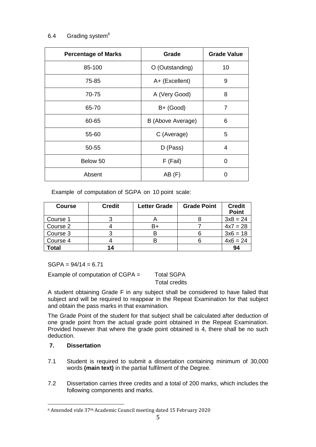# 6.4 Grading system $6$

| <b>Percentage of Marks</b> | Grade             | <b>Grade Value</b> |
|----------------------------|-------------------|--------------------|
| 85-100                     | O (Outstanding)   | 10                 |
| 75-85                      | A+ (Excellent)    | 9                  |
| 70-75                      | A (Very Good)     | 8                  |
| 65-70                      | $B+$ (Good)       | $\overline{7}$     |
| 60-65                      | B (Above Average) | 6                  |
| 55-60                      | C (Average)       | 5                  |
| 50-55                      | D (Pass)          | 4                  |
| Below 50                   | F (Fail)          | 0                  |
| Absent                     | AB(F)             | O                  |

Example of computation of SGPA on 10 point scale:

| <b>Course</b> | <b>Credit</b> | <b>Letter Grade</b> | <b>Grade Point</b> | <b>Credit</b><br><b>Point</b> |
|---------------|---------------|---------------------|--------------------|-------------------------------|
| Course 1      |               |                     |                    | $3x8 = 24$                    |
| Course 2      |               | B+                  |                    | $4x7 = 28$                    |
| Course 3      |               |                     |                    | $3x6 = 18$                    |
| Course 4      |               |                     |                    | $4x6 = 24$                    |
| Total         | 14            |                     |                    | 94                            |

 $SGPA = 94/14 = 6.71$ 

Example of computation of  $CGPA =$  Total SGPA

Total credits

A student obtaining Grade F in any subject shall be considered to have failed that subject and will be required to reappear in the Repeat Examination for that subject and obtain the pass marks in that examination.

The Grade Point of the student for that subject shall be calculated after deduction of one grade point from the actual grade point obtained in the Repeat Examination. Provided however that where the grade point obtained is 4, there shall be no such deduction.

# **7. Dissertation**

- 7.1 Student is required to submit a dissertation containing minimum of 30,000 words **(main text)** in the partial fulfilment of the Degree.
- 7.2 Dissertation carries three credits and a total of 200 marks, which includes the following components and marks.

<sup>6</sup> Amended vide 37th Academic Council meeting dated 15 February 2020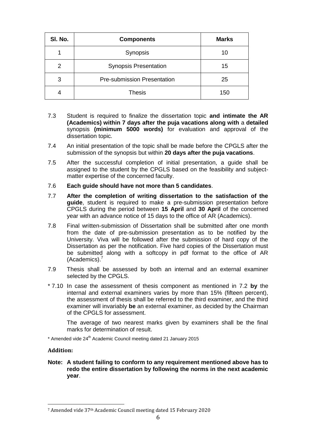| SI. No. | <b>Components</b>                  | <b>Marks</b> |
|---------|------------------------------------|--------------|
|         | Synopsis                           | 10           |
| 2       | <b>Synopsis Presentation</b>       | 15           |
| 3       | <b>Pre-submission Presentation</b> | 25           |
|         | <b>Thesis</b>                      | 150          |

- 7.3 Student is required to finalize the dissertation topic **and intimate the AR (Academics) within 7 days after the puja vacations along with** a **detailed** synopsis **(minimum 5000 words)** for evaluation and approval of the dissertation topic.
- 7.4 An initial presentation of the topic shall be made before the CPGLS after the submission of the synopsis but within **20 days after the puja vacations**.
- 7.5 After the successful completion of initial presentation, a guide shall be assigned to the student by the CPGLS based on the feasibility and subjectmatter expertise of the concerned faculty.
- 7.6 **Each guide should have not more than 5 candidates**.
- 7.7 **After the completion of writing dissertation to the satisfaction of the guide**, student is required to make a pre-submission presentation before CPGLS during the period between **15 April** and **30 April** of the concerned year with an advance notice of 15 days to the office of AR (Academics).
- 7.8 Final written-submission of Dissertation shall be submitted after one month from the date of pre-submission presentation as to be notified by the University. Viva will be followed after the submission of hard copy of the Dissertation as per the notification. Five hard copies of the Dissertation must be submitted along with a softcopy in pdf format to the office of AR (Academics). 7
- 7.9 Thesis shall be assessed by both an internal and an external examiner selected by the CPGLS.
- \* 7.10 In case the assessment of thesis component as mentioned in 7.2 **by** the internal and external examiners varies by more than 15% (fifteen percent), the assessment of thesis shall be referred to the third examiner, and the third examiner will invariably **be** an external examiner, as decided by the Chairman of the CPGLS for assessment.

The average of two nearest marks given by examiners shall be the final marks for determination of result.

\* Amended vide 24<sup>th</sup> Academic Council meeting dated 21 January 2015

#### **Addition:**

 $\overline{\phantom{a}}$ 

**Note: A student failing to conform to any requirement mentioned above has to redo the entire dissertation by following the norms in the next academic year**.

<sup>7</sup> Amended vide 37th Academic Council meeting dated 15 February 2020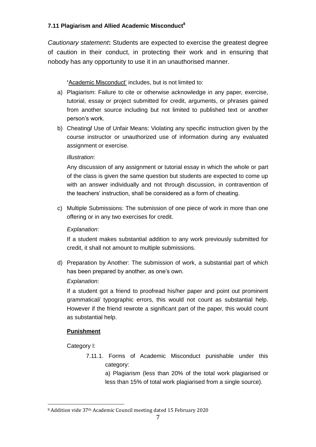# **7.11 Plagiarism and Allied Academic Misconduct<sup>8</sup>**

*Cautionary statement***:** Students are expected to exercise the greatest degree of caution in their conduct, in protecting their work and in ensuring that nobody has any opportunity to use it in an unauthorised manner.

# **'**Academic Misconduct" includes, but is not limited to:

- a) Plagiarism: Failure to cite or otherwise acknowledge in any paper, exercise, tutorial, essay or project submitted for credit, arguments, or phrases gained from another source including but not limited to published text or another person"s work.
- b) Cheating**/** Use of Unfair Means: Violating any specific instruction given by the course instructor or unauthorized use of information during any evaluated assignment or exercise.

## *Illustration*:

Any discussion of any assignment or tutorial essay in which the whole or part of the class is given the same question but students are expected to come up with an answer individually and not through discussion, in contravention of the teachers' instruction, shall be considered as a form of cheating.

c) Multiple Submissions: The submission of one piece of work in more than one offering or in any two exercises for credit.

# *Explanation*:

If a student makes substantial addition to any work previously submitted for credit, it shall not amount to multiple submissions.

d) Preparation by Another: The submission of work, a substantial part of which has been prepared by another, as one's own.

## *Explanation*:

If a student got a friend to proofread his/her paper and point out prominent grammatical/ typographic errors, this would not count as substantial help. However if the friend rewrote a significant part of the paper, this would count as substantial help.

# **Punishment**

Category I:

 $\overline{\phantom{a}}$ 

7.11.1. Forms of Academic Misconduct punishable under this category:

> a) Plagiarism (less than 20% of the total work plagiarised or less than 15% of total work plagiarised from a single source).

<sup>8</sup> Addition vide 37th Academic Council meeting dated 15 February 2020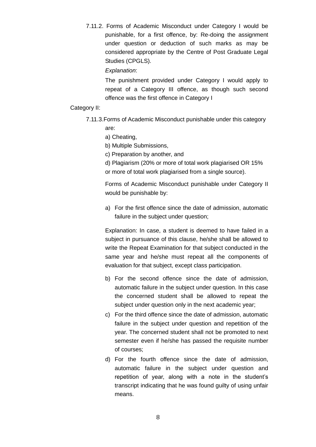7.11.2. Forms of Academic Misconduct under Category I would be punishable, for a first offence, by: Re-doing the assignment under question or deduction of such marks as may be considered appropriate by the Centre of Post Graduate Legal Studies (CPGLS).

#### *Explanation*:

The punishment provided under Category I would apply to repeat of a Category III offence, as though such second offence was the first offence in Category I

#### Category II:

- 7.11.3.Forms of Academic Misconduct punishable under this category
	- are:
	- a) Cheating,
	- b) Multiple Submissions,
	- c) Preparation by another, and

d) Plagiarism (20% or more of total work plagiarised OR 15% or more of total work plagiarised from a single source).

Forms of Academic Misconduct punishable under Category II would be punishable by:

a) For the first offence since the date of admission, automatic failure in the subject under question;

Explanation: In case, a student is deemed to have failed in a subject in pursuance of this clause, he/she shall be allowed to write the Repeat Examination for that subject conducted in the same year and he/she must repeat all the components of evaluation for that subject, except class participation.

- b) For the second offence since the date of admission, automatic failure in the subject under question. In this case the concerned student shall be allowed to repeat the subject under question only in the next academic year;
- c) For the third offence since the date of admission, automatic failure in the subject under question and repetition of the year. The concerned student shall not be promoted to next semester even if he/she has passed the requisite number of courses;
- d) For the fourth offence since the date of admission, automatic failure in the subject under question and repetition of year, along with a note in the student"s transcript indicating that he was found guilty of using unfair means.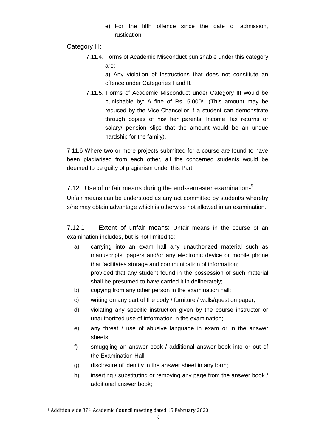e) For the fifth offence since the date of admission, rustication.

Category III:

7.11.4. Forms of Academic Misconduct punishable under this category are:

> a) Any violation of Instructions that does not constitute an offence under Categories I and II.

7.11.5. Forms of Academic Misconduct under Category III would be punishable by: A fine of Rs. 5,000/- (This amount may be reduced by the Vice-Chancellor if a student can demonstrate through copies of his/ her parents" Income Tax returns or salary/ pension slips that the amount would be an undue hardship for the family).

7.11.6 Where two or more projects submitted for a course are found to have been plagiarised from each other, all the concerned students would be deemed to be guilty of plagiarism under this Part.

# 7.12 Use of unfair means during the end-semester examination-<sup>9</sup>

Unfair means can be understood as any act committed by student/s whereby s/he may obtain advantage which is otherwise not allowed in an examination.

7.12.1 Extent of unfair means: Unfair means in the course of an examination includes, but is not limited to:

- a) carrying into an exam hall any unauthorized material such as manuscripts, papers and/or any electronic device or mobile phone that facilitates storage and communication of information; provided that any student found in the possession of such material shall be presumed to have carried it in deliberately;
- b) copying from any other person in the examination hall;
- c) writing on any part of the body / furniture / walls/question paper;
- d) violating any specific instruction given by the course instructor or unauthorized use of information in the examination;
- e) any threat / use of abusive language in exam or in the answer sheets;
- f) smuggling an answer book / additional answer book into or out of the Examination Hall;
- g) disclosure of identity in the answer sheet in any form;
- h) inserting / substituting or removing any page from the answer book / additional answer book;

<sup>9</sup> Addition vide 37th Academic Council meeting dated 15 February 2020